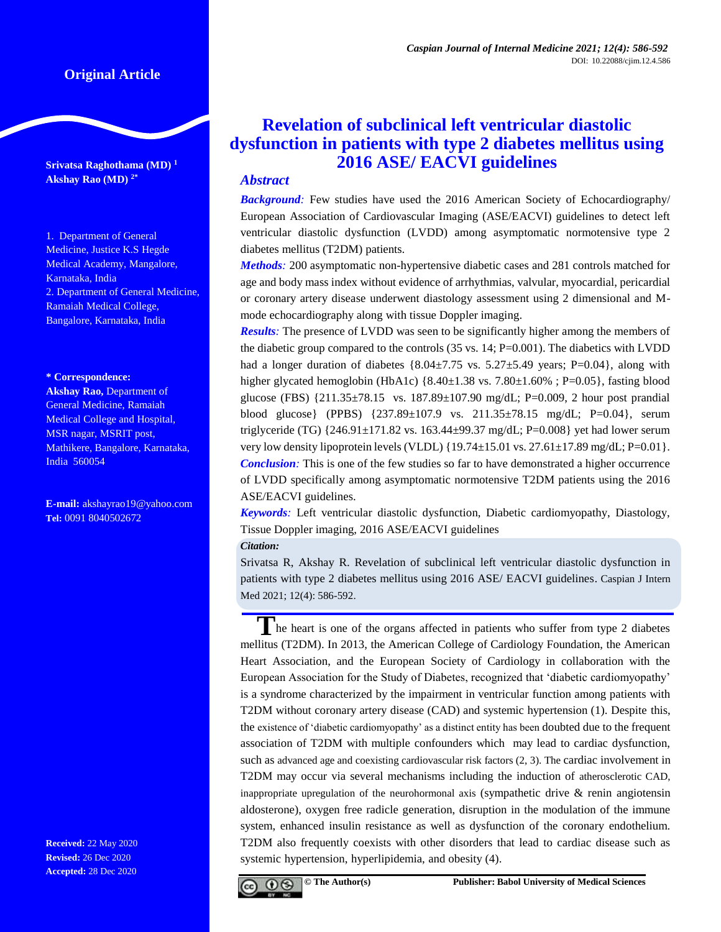# **Original Article**

**Srivatsa Raghothama (MD) <sup>1</sup> Akshay Rao (MD) 2\***

1. Department of General Medicine, Justice K.S Hegde Medical Academy, Mangalore, Karnataka, India 2. Department of General Medicine, Ramaiah Medical College, Bangalore, Karnataka, India

#### **\* Correspondence:**

**Akshay Rao,** Department of General Medicine, Ramaiah Medical College and Hospital, MSR nagar, MSRIT post, Mathikere, Bangalore, Karnataka, India 560054

**E-mail:** [akshayrao19@yahoo.com](mailto:akshayrao19@yahoo.com) **Tel:** 0091 8040502672

**Received:** 22 May 2020 **Revised:** 26 Dec 2020 **Accepted:** 28 Dec 2020

# **Revelation of subclinical left ventricular diastolic dysfunction in patients with type 2 diabetes mellitus using 2016 ASE/ EACVI guidelines**

# *Abstract*

*Background:* Few studies have used the 2016 American Society of Echocardiography/ European Association of Cardiovascular Imaging (ASE/EACVI) guidelines to detect left ventricular diastolic dysfunction (LVDD) among asymptomatic normotensive type 2 diabetes mellitus (T2DM) patients.

*Methods:* 200 asymptomatic non-hypertensive diabetic cases and 281 controls matched for age and body mass index without evidence of arrhythmias, valvular, myocardial, pericardial or coronary artery disease underwent diastology assessment using 2 dimensional and Mmode echocardiography along with tissue Doppler imaging.

*Results:* The presence of LVDD was seen to be significantly higher among the members of the diabetic group compared to the controls (35 vs. 14; P=0.001). The diabetics with LVDD had a longer duration of diabetes  $\{8.04\pm7.75 \text{ vs. } 5.27\pm5.49 \text{ years}; P=0.04\}$ , along with higher glycated hemoglobin (HbA1c)  $\{8.40 \pm 1.38 \text{ vs. } 7.80 \pm 1.60\% \}$ ; P=0.05}, fasting blood glucose (FBS)  $\{211.35\pm78.15 \text{ vs. } 187.89\pm107.90 \text{ mg/dL}; \text{ P=0.009}, 2 \text{ hour post prandial}$ blood glucose} (PPBS) {237.89±107.9 vs. 211.35±78.15 mg/dL; P=0.04}, serum triglyceride (TG)  $\{246.91 \pm 171.82 \text{ vs. } 163.44 \pm 99.37 \text{ mg/dL}; \text{P=0.008}\}$  yet had lower serum very low density lipoprotein levels (VLDL)  $\{19.74 \pm 15.01 \text{ vs. } 27.61 \pm 17.89 \text{ mg/dL}; P=0.01\}.$ *Conclusion:* This is one of the few studies so far to have demonstrated a higher occurrence of LVDD specifically among asymptomatic normotensive T2DM patients using the 2016 ASE/EACVI guidelines.

*Keywords:* Left ventricular diastolic dysfunction, Diabetic cardiomyopathy, Diastology, Tissue Doppler imaging, 2016 ASE/EACVI guidelines

*Citation:*

Srivatsa R, Akshay R. Revelation of subclinical left ventricular diastolic dysfunction in patients with type 2 diabetes mellitus using 2016 ASE/ EACVI guidelines. Caspian J Intern Med 2021; 12(4): 586-592.

The heart is one of the organs affected in patients who suffer from type 2 diabetes mellitus (T2DM). In 2013, the American College of Cardiology Foundation, the American Heart Association, and the European Society of Cardiology in collaboration with the European Association for the Study of Diabetes, recognized that 'diabetic cardiomyopathy' is a syndrome characterized by the impairment in ventricular function among patients with T2DM without coronary artery disease (CAD) and systemic hypertension (1). Despite this, the existence of 'diabetic cardiomyopathy' as a distinct entity has been doubted due to the frequent association of T2DM with multiple confounders which may lead to cardiac dysfunction, such as advanced age and coexisting cardiovascular risk factors (2, 3). The cardiac involvement in T2DM may occur via several mechanisms including the induction of atherosclerotic CAD, inappropriate upregulation of the neurohormonal axis (sympathetic drive  $\&$  renin angiotensin aldosterone), oxygen free radicle generation, disruption in the modulation of the immune system, enhanced insulin resistance as well as dysfunction of the coronary endothelium. T2DM also frequently coexists with other disorders that lead to cardiac disease such as systemic hypertension, hyperlipidemia, and obesity (4).

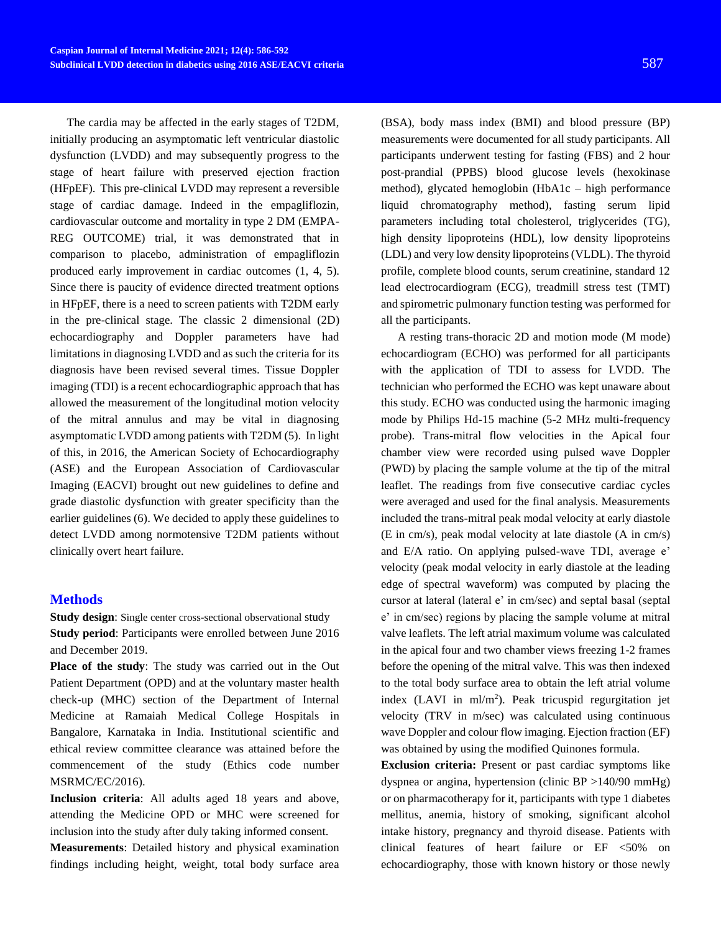The cardia may be affected in the early stages of T2DM, initially producing an asymptomatic left ventricular diastolic dysfunction (LVDD) and may subsequently progress to the stage of heart failure with preserved ejection fraction (HFpEF). This pre-clinical LVDD may represent a reversible stage of cardiac damage. Indeed in the empagliflozin, cardiovascular outcome and mortality in type 2 DM (EMPA-REG OUTCOME) trial, it was demonstrated that in comparison to placebo, administration of empagliflozin produced early improvement in cardiac outcomes (1, 4, 5). Since there is paucity of evidence directed treatment options in HFpEF, there is a need to screen patients with T2DM early in the pre-clinical stage. The classic 2 dimensional (2D) echocardiography and Doppler parameters have had limitations in diagnosing LVDD and as such the criteria for its diagnosis have been revised several times. Tissue Doppler imaging (TDI) is a recent echocardiographic approach that has allowed the measurement of the longitudinal motion velocity of the mitral annulus and may be vital in diagnosing asymptomatic LVDD among patients with T2DM (5). In light of this, in 2016, the American Society of Echocardiography (ASE) and the European Association of Cardiovascular Imaging (EACVI) brought out new guidelines to define and grade diastolic dysfunction with greater specificity than the earlier guidelines (6). We decided to apply these guidelines to detect LVDD among normotensive T2DM patients without clinically overt heart failure.

### **Methods**

**Study design:** Single center cross-sectional observational study **Study period**: Participants were enrolled between June 2016 and December 2019.

**Place of the study**: The study was carried out in the Out Patient Department (OPD) and at the voluntary master health check-up (MHC) section of the Department of Internal Medicine at Ramaiah Medical College Hospitals in Bangalore, Karnataka in India. Institutional scientific and ethical review committee clearance was attained before the commencement of the study (Ethics code number MSRMC/EC/2016).

**Inclusion criteria**: All adults aged 18 years and above, attending the Medicine OPD or MHC were screened for inclusion into the study after duly taking informed consent.

**Measurements**: Detailed history and physical examination findings including height, weight, total body surface area

(BSA), body mass index (BMI) and blood pressure (BP) measurements were documented for all study participants. All participants underwent testing for fasting (FBS) and 2 hour post-prandial (PPBS) blood glucose levels (hexokinase method), glycated hemoglobin (HbA1c – high performance liquid chromatography method), fasting serum lipid parameters including total cholesterol, triglycerides (TG), high density lipoproteins (HDL), low density lipoproteins (LDL) and very low density lipoproteins (VLDL). The thyroid profile, complete blood counts, serum creatinine, standard 12 lead electrocardiogram (ECG), treadmill stress test (TMT) and spirometric pulmonary function testing was performed for all the participants.

A resting trans-thoracic 2D and motion mode (M mode) echocardiogram (ECHO) was performed for all participants with the application of TDI to assess for LVDD. The technician who performed the ECHO was kept unaware about this study. ECHO was conducted using the harmonic imaging mode by Philips Hd-15 machine (5-2 MHz multi-frequency probe). Trans-mitral flow velocities in the Apical four chamber view were recorded using pulsed wave Doppler (PWD) by placing the sample volume at the tip of the mitral leaflet. The readings from five consecutive cardiac cycles were averaged and used for the final analysis. Measurements included the trans-mitral peak modal velocity at early diastole (E in cm/s), peak modal velocity at late diastole (A in cm/s) and E/A ratio. On applying pulsed-wave TDI, average e' velocity (peak modal velocity in early diastole at the leading edge of spectral waveform) was computed by placing the cursor at lateral (lateral e' in cm/sec) and septal basal (septal e' in cm/sec) regions by placing the sample volume at mitral valve leaflets. The left atrial maximum volume was calculated in the apical four and two chamber views freezing 1-2 frames before the opening of the mitral valve. This was then indexed to the total body surface area to obtain the left atrial volume index (LAVI in ml/m<sup>2</sup>). Peak tricuspid regurgitation jet velocity (TRV in m/sec) was calculated using continuous wave Doppler and colour flow imaging. Ejection fraction (EF) was obtained by using the modified Quinones formula.

**Exclusion criteria:** Present or past cardiac symptoms like dyspnea or angina, hypertension (clinic BP >140/90 mmHg) or on pharmacotherapy for it, participants with type 1 diabetes mellitus, anemia, history of smoking, significant alcohol intake history, pregnancy and thyroid disease. Patients with clinical features of heart failure or EF <50% on echocardiography, those with known history or those newly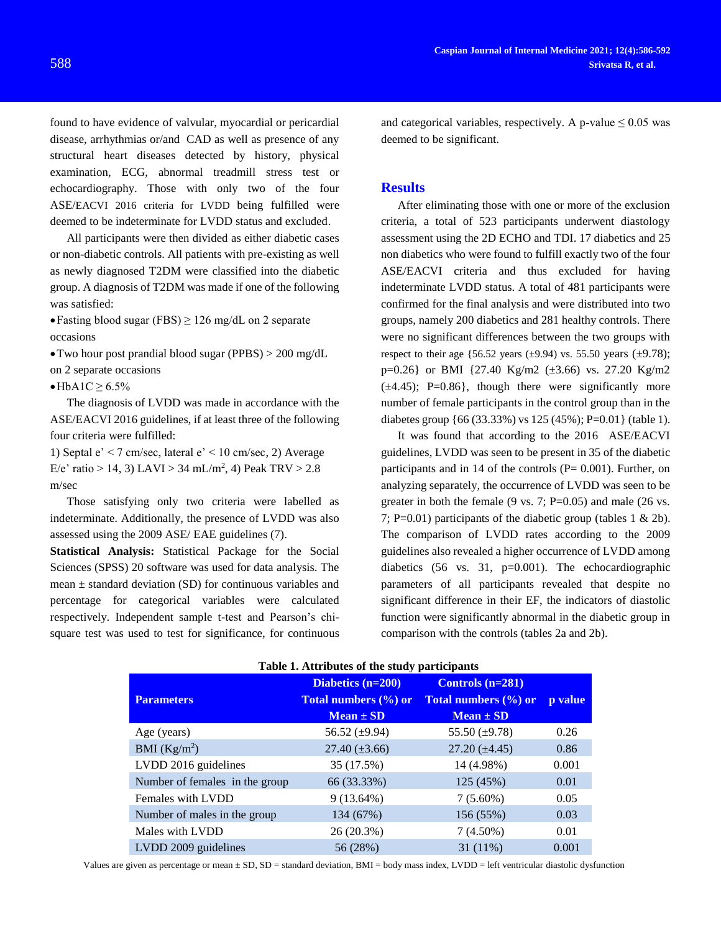found to have evidence of valvular, myocardial or pericardial disease, arrhythmias or/and CAD as well as presence of any structural heart diseases detected by history, physical examination, ECG, abnormal treadmill stress test or echocardiography. Those with only two of the four ASE/EACVI 2016 criteria for LVDD being fulfilled were deemed to be indeterminate for LVDD status and excluded.

All participants were then divided as either diabetic cases or non-diabetic controls. All patients with pre-existing as well as newly diagnosed T2DM were classified into the diabetic group. A diagnosis of T2DM was made if one of the following was satisfied:

• Fasting blood sugar (FBS)  $\geq$  126 mg/dL on 2 separate occasions

Two hour post prandial blood sugar (PPBS) > 200 mg/dL on 2 separate occasions

 $\bullet$ HbA1C  $\geq 6.5\%$ 

The diagnosis of LVDD was made in accordance with the ASE/EACVI 2016 guidelines, if at least three of the following four criteria were fulfilled:

1) Septal  $e' < 7$  cm/sec, lateral  $e' < 10$  cm/sec, 2) Average E/e' ratio > 14, 3) LAVI > 34 mL/m<sup>2</sup>, 4) Peak TRV > 2.8 m/sec

Those satisfying only two criteria were labelled as indeterminate. Additionally, the presence of LVDD was also assessed using the 2009 ASE/ EAE guidelines (7).

**Statistical Analysis:** Statistical Package for the Social Sciences (SPSS) 20 software was used for data analysis. The mean  $\pm$  standard deviation (SD) for continuous variables and percentage for categorical variables were calculated respectively. Independent sample t-test and Pearson's chisquare test was used to test for significance, for continuous

**Caspian Journal of Internal Medicine 2021; 12(4):586-592** 588 **Srivatsa R, et al.**

> and categorical variables, respectively. A p-value  $\leq 0.05$  was deemed to be significant.

### **Results**

After eliminating those with one or more of the exclusion criteria, a total of 523 participants underwent diastology assessment using the 2D ECHO and TDI. 17 diabetics and 25 non diabetics who were found to fulfill exactly two of the four ASE/EACVI criteria and thus excluded for having indeterminate LVDD status. A total of 481 participants were confirmed for the final analysis and were distributed into two groups, namely 200 diabetics and 281 healthy controls. There were no significant differences between the two groups with respect to their age  $\{56.52 \text{ years } (\pm 9.94) \text{ vs. } 55.50 \text{ years } (\pm 9.78);$  $p=0.26$ } or BMI {27.40 Kg/m2 ( $\pm$ 3.66) vs. 27.20 Kg/m2  $(\pm 4.45)$ ; P=0.86}, though there were significantly more number of female participants in the control group than in the diabetes group {66 (33.33%) vs 125 (45%); P=0.01} (table 1).

It was found that according to the 2016 ASE/EACVI guidelines, LVDD was seen to be present in 35 of the diabetic participants and in 14 of the controls  $(P= 0.001)$ . Further, on analyzing separately, the occurrence of LVDD was seen to be greater in both the female  $(9 \text{ vs. } 7; \text{ P=0.05})$  and male  $(26 \text{ vs. } 7; \text{ P=0.05})$ 7; P=0.01) participants of the diabetic group (tables 1 & 2b). The comparison of LVDD rates according to the 2009 guidelines also revealed a higher occurrence of LVDD among diabetics (56 vs. 31, p=0.001). The echocardiographic parameters of all participants revealed that despite no significant difference in their EF, the indicators of diastolic function were significantly abnormal in the diabetic group in comparison with the controls (tables 2a and 2b).

| <b>Table 1. Attributes of the study participants</b> |                      |                      |         |  |
|------------------------------------------------------|----------------------|----------------------|---------|--|
|                                                      | Diabetics $(n=200)$  | Controls $(n=281)$   |         |  |
| <b>Parameters</b>                                    | Total numbers (%) or | Total numbers (%) or | p value |  |
|                                                      | $Mean \pm SD$        | $Mean \pm SD$        |         |  |
| Age (years)                                          | 56.52 $(\pm 9.94)$   | 55.50 $(\pm 9.78)$   | 0.26    |  |
| BMI $(Kg/m^2)$                                       | $27.40 (\pm 3.66)$   | $27.20 (\pm 4.45)$   | 0.86    |  |
| LVDD 2016 guidelines                                 | 35 (17.5%)           | 14 (4.98%)           | 0.001   |  |
| Number of females in the group                       | 66 (33.33%)          | 125 (45%)            | 0.01    |  |
| Females with LVDD                                    | $9(13.64\%)$         | $7(5.60\%)$          | 0.05    |  |
| Number of males in the group                         | 134 (67%)            | 156 (55%)            | 0.03    |  |
| Males with LVDD                                      | 26 (20.3%)           | $7(4.50\%)$          | 0.01    |  |
| LVDD 2009 guidelines                                 | 56 (28%)             | $31(11\%)$           | 0.001   |  |

### **Table 1. Attributes of the study participants**

Values are given as percentage or mean ± SD, SD = standard deviation, BMI = body mass index, LVDD = left ventricular diastolic dysfunction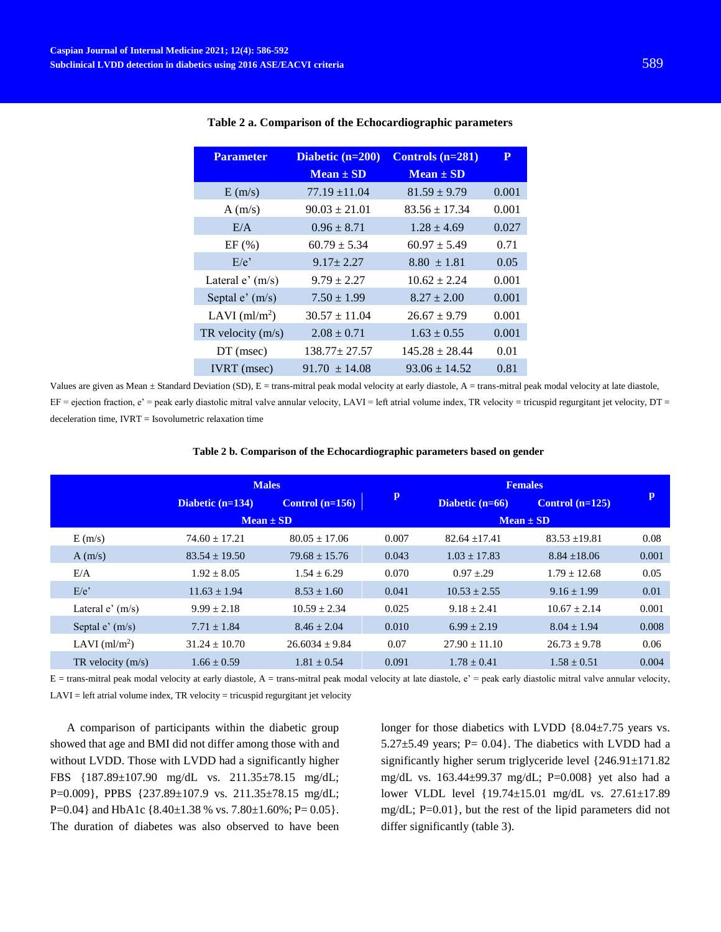| <b>Parameter</b>    | Diabetic $(n=200)$<br>$Mean \pm SD$ | Controls $(n=281)$<br>$Mean \pm SD$ | P     |
|---------------------|-------------------------------------|-------------------------------------|-------|
| E(m/s)              | $77.19 \pm 11.04$                   | $81.59 \pm 9.79$                    | 0.001 |
| A(m/s)              | $90.03 \pm 21.01$                   | $83.56 \pm 17.34$                   | 0.001 |
| E/A                 | $0.96 \pm 8.71$                     | $1.28 \pm 4.69$                     | 0.027 |
| EF(%)               | $60.79 \pm 5.34$                    | $60.97 \pm 5.49$                    | 0.71  |
| $E/e^{\gamma}$      | $9.17 \pm 2.27$                     | $8.80 \pm 1.81$                     | 0.05  |
| Lateral $e'(m/s)$   | $9.79 \pm 2.27$                     | $10.62 + 2.24$                      | 0.001 |
| Septal $e'(m/s)$    | $7.50 \pm 1.99$                     | $8.27 \pm 2.00$                     | 0.001 |
| LAVI $(ml/m2)$      | $30.57 \pm 11.04$                   | $26.67 \pm 9.79$                    | 0.001 |
| TR velocity $(m/s)$ | $2.08 \pm 0.71$                     | $1.63 \pm 0.55$                     | 0.001 |
| $DT$ (msec)         | $138.77 \pm 27.57$                  | $145.28 \pm 28.44$                  | 0.01  |
| <b>IVRT</b> (msec)  | $91.70 \pm 14.08$                   | $93.06 \pm 14.52$                   | 0.81  |

#### **Table 2 a. Comparison of the Echocardiographic parameters**

Values are given as Mean  $\pm$  Standard Deviation (SD), E = trans-mitral peak modal velocity at early diastole, A = trans-mitral peak modal velocity at late diastole,  $EF =$  ejection fraction, e' = peak early diastolic mitral valve annular velocity, LAVI = left atrial volume index, TR velocity = tricuspid regurgitant jet velocity, DT = deceleration time, IVRT = Isovolumetric relaxation time

|                     | <b>Males</b>       |                   |              | <b>Females</b>    |                   |              |
|---------------------|--------------------|-------------------|--------------|-------------------|-------------------|--------------|
|                     | Diabetic $(n=134)$ | Control $(n=156)$ | $\mathbf{p}$ | Diabetic $(n=66)$ | Control $(n=125)$ | $\mathbf{p}$ |
|                     | $Mean \pm SD$      |                   |              | $Mean \pm SD$     |                   |              |
| E(m/s)              | $74.60 + 17.21$    | $80.05 + 17.06$   | 0.007        | $82.64 + 17.41$   | $83.53 \pm 19.81$ | 0.08         |
| A(m/s)              | $83.54 \pm 19.50$  | $79.68 \pm 15.76$ | 0.043        | $1.03 \pm 17.83$  | $8.84 \pm 18.06$  | 0.001        |
| E/A                 | $1.92 \pm 8.05$    | $1.54 + 6.29$     | 0.070        | $0.97 + 29$       | $1.79 + 12.68$    | 0.05         |
| $E/e$ <sup>2</sup>  | $11.63 \pm 1.94$   | $8.53 \pm 1.60$   | 0.041        | $10.53 \pm 2.55$  | $9.16 \pm 1.99$   | 0.01         |
| Lateral $e'(m/s)$   | $9.99 \pm 2.18$    | $10.59 + 2.34$    | 0.025        | $9.18 \pm 2.41$   | $10.67 + 2.14$    | 0.001        |
| Septal $e'(m/s)$    | $7.71 \pm 1.84$    | $8.46 \pm 2.04$   | 0.010        | $6.99 \pm 2.19$   | $8.04 \pm 1.94$   | 0.008        |
| LAVI $(ml/m2)$      | $31.24 + 10.70$    | $26.6034 + 9.84$  | 0.07         | $27.90 \pm 11.10$ | $26.73 + 9.78$    | 0.06         |
| TR velocity $(m/s)$ | $1.66 \pm 0.59$    | $1.81 \pm 0.54$   | 0.091        | $1.78 + 0.41$     | $1.58 \pm 0.51$   | 0.004        |

#### **Table 2 b. Comparison of the Echocardiographic parameters based on gender**

 $E =$  trans-mitral peak modal velocity at early diastole, A = trans-mitral peak modal velocity at late diastole,  $e^2$  = peak early diastolic mitral valve annular velocity,  $LAVI = left$  atrial volume index, TR velocity = tricuspid regurgitant jet velocity

A comparison of participants within the diabetic group showed that age and BMI did not differ among those with and without LVDD. Those with LVDD had a significantly higher FBS {187.89±107.90 mg/dL vs. 211.35±78.15 mg/dL; P=0.009}, PPBS {237.89±107.9 vs. 211.35±78.15 mg/dL; P=0.04} and HbA1c { $8.40 \pm 1.38$  % vs. 7.80 $\pm 1.60$ %; P=0.05}. The duration of diabetes was also observed to have been longer for those diabetics with LVDD {8.04±7.75 years vs. 5.27 $\pm$ 5.49 years; P= 0.04}. The diabetics with LVDD had a significantly higher serum triglyceride level {246.91±171.82 mg/dL vs. 163.44±99.37 mg/dL; P=0.008} yet also had a lower VLDL level {19.74±15.01 mg/dL vs. 27.61±17.89 mg/dL; P=0.01}, but the rest of the lipid parameters did not differ significantly (table 3).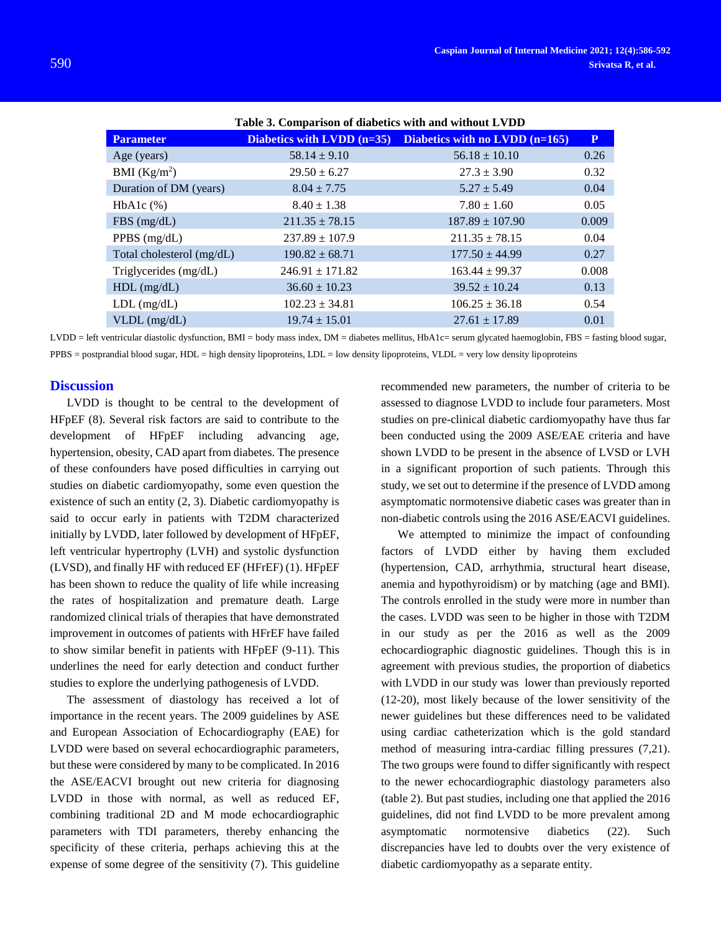| <b>Parameter</b>          | Diabetics with LVDD (n=35) | Diabetics with no LVDD (n=165) | ${\bf P}$ |
|---------------------------|----------------------------|--------------------------------|-----------|
| Age (years)               | $58.14 \pm 9.10$           | $56.18 \pm 10.10$              | 0.26      |
| BMI $(Kg/m^2)$            | $29.50 \pm 6.27$           | $27.3 \pm 3.90$                | 0.32      |
| Duration of DM (years)    | $8.04 \pm 7.75$            | $5.27 \pm 5.49$                | 0.04      |
| $HbA1c$ $%$ )             | $8.40 \pm 1.38$            | $7.80 \pm 1.60$                | 0.05      |
| FBS(mg/dL)                | $211.35 \pm 78.15$         | $187.89 \pm 107.90$            | 0.009     |
| PPBS $(mg/dL)$            | $237.89 \pm 107.9$         | $211.35 \pm 78.15$             | 0.04      |
| Total cholesterol (mg/dL) | $190.82 \pm 68.71$         | $177.50 \pm 44.99$             | 0.27      |
| Triglycerides (mg/dL)     | $246.91 \pm 171.82$        | $163.44 \pm 99.37$             | 0.008     |
| $HDL$ (mg/dL)             | $36.60 \pm 10.23$          | $39.52 \pm 10.24$              | 0.13      |
| $LDL$ (mg/dL)             | $102.23 \pm 34.81$         | $106.25 \pm 36.18$             | 0.54      |
| $VLDL$ (mg/dL)            | $19.74 \pm 15.01$          | $27.61 \pm 17.89$              | 0.01      |

**Table 3. Comparison of diabetics with and without LVDD**

LVDD = left ventricular diastolic dysfunction, BMI = body mass index, DM = diabetes mellitus, HbA1c= serum glycated haemoglobin, FBS = fasting blood sugar, PPBS = postprandial blood sugar, HDL = high density lipoproteins, LDL = low density lipoproteins, VLDL = very low density lipoproteins

### **Discussion**

LVDD is thought to be central to the development of HFpEF (8). Several risk factors are said to contribute to the development of HFpEF including advancing age, hypertension, obesity, CAD apart from diabetes. The presence of these confounders have posed difficulties in carrying out studies on diabetic cardiomyopathy, some even question the existence of such an entity (2, 3). Diabetic cardiomyopathy is said to occur early in patients with T2DM characterized initially by LVDD, later followed by development of HFpEF, left ventricular hypertrophy (LVH) and systolic dysfunction (LVSD), and finally HF with reduced EF (HFrEF) (1). HFpEF has been shown to reduce the quality of life while increasing the rates of hospitalization and premature death. Large randomized clinical trials of therapies that have demonstrated improvement in outcomes of patients with HFrEF have failed to show similar benefit in patients with HFpEF (9-11). This underlines the need for early detection and conduct further studies to explore the underlying pathogenesis of LVDD.

The assessment of diastology has received a lot of importance in the recent years. The 2009 guidelines by ASE and European Association of Echocardiography (EAE) for LVDD were based on several echocardiographic parameters, but these were considered by many to be complicated. In 2016 the ASE/EACVI brought out new criteria for diagnosing LVDD in those with normal, as well as reduced EF, combining traditional 2D and M mode echocardiographic parameters with TDI parameters, thereby enhancing the specificity of these criteria, perhaps achieving this at the expense of some degree of the sensitivity (7). This guideline recommended new parameters, the number of criteria to be assessed to diagnose LVDD to include four parameters. Most studies on pre-clinical diabetic cardiomyopathy have thus far been conducted using the 2009 ASE/EAE criteria and have shown LVDD to be present in the absence of LVSD or LVH in a significant proportion of such patients. Through this study, we set out to determine if the presence of LVDD among asymptomatic normotensive diabetic cases was greater than in non-diabetic controls using the 2016 ASE/EACVI guidelines.

We attempted to minimize the impact of confounding factors of LVDD either by having them excluded (hypertension, CAD, arrhythmia, structural heart disease, anemia and hypothyroidism) or by matching (age and BMI). The controls enrolled in the study were more in number than the cases. LVDD was seen to be higher in those with T2DM in our study as per the 2016 as well as the 2009 echocardiographic diagnostic guidelines. Though this is in agreement with previous studies, the proportion of diabetics with LVDD in our study was lower than previously reported (12-20), most likely because of the lower sensitivity of the newer guidelines but these differences need to be validated using cardiac catheterization which is the gold standard method of measuring intra-cardiac filling pressures (7,21). The two groups were found to differ significantly with respect to the newer echocardiographic diastology parameters also (table 2). But past studies, including one that applied the 2016 guidelines, did not find LVDD to be more prevalent among asymptomatic normotensive diabetics (22). Such discrepancies have led to doubts over the very existence of diabetic cardiomyopathy as a separate entity.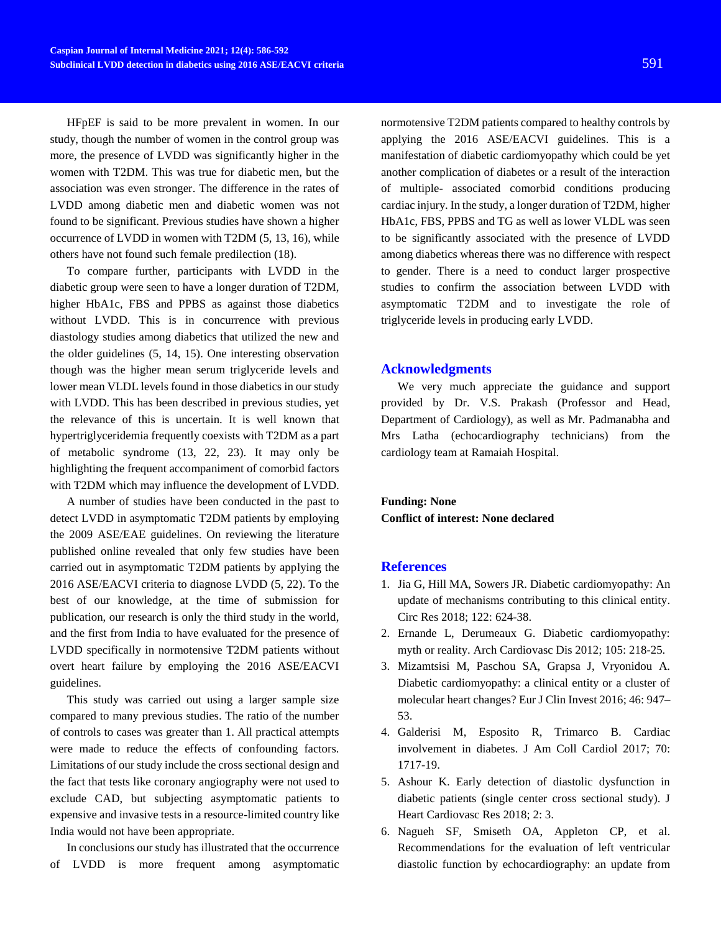HFpEF is said to be more prevalent in women. In our study, though the number of women in the control group was more, the presence of LVDD was significantly higher in the women with T2DM. This was true for diabetic men, but the association was even stronger. The difference in the rates of LVDD among diabetic men and diabetic women was not found to be significant. Previous studies have shown a higher occurrence of LVDD in women with T2DM (5, 13, 16), while others have not found such female predilection (18).

To compare further, participants with LVDD in the diabetic group were seen to have a longer duration of T2DM, higher HbA1c, FBS and PPBS as against those diabetics without LVDD. This is in concurrence with previous diastology studies among diabetics that utilized the new and the older guidelines (5, 14, 15). One interesting observation though was the higher mean serum triglyceride levels and lower mean VLDL levels found in those diabetics in our study with LVDD. This has been described in previous studies, yet the relevance of this is uncertain. It is well known that hypertriglyceridemia frequently coexists with T2DM as a part of metabolic syndrome (13, 22, 23). It may only be highlighting the frequent accompaniment of comorbid factors with T2DM which may influence the development of LVDD.

A number of studies have been conducted in the past to detect LVDD in asymptomatic T2DM patients by employing the 2009 ASE/EAE guidelines. On reviewing the literature published online revealed that only few studies have been carried out in asymptomatic T2DM patients by applying the 2016 ASE/EACVI criteria to diagnose LVDD (5, 22). To the best of our knowledge, at the time of submission for publication, our research is only the third study in the world, and the first from India to have evaluated for the presence of LVDD specifically in normotensive T2DM patients without overt heart failure by employing the 2016 ASE/EACVI guidelines.

This study was carried out using a larger sample size compared to many previous studies. The ratio of the number of controls to cases was greater than 1. All practical attempts were made to reduce the effects of confounding factors. Limitations of our study include the cross sectional design and the fact that tests like coronary angiography were not used to exclude CAD, but subjecting asymptomatic patients to expensive and invasive tests in a resource-limited country like India would not have been appropriate.

In conclusions our study has illustrated that the occurrence of LVDD is more frequent among asymptomatic

normotensive T2DM patients compared to healthy controls by applying the 2016 ASE/EACVI guidelines. This is a manifestation of diabetic cardiomyopathy which could be yet another complication of diabetes or a result of the interaction of multiple- associated comorbid conditions producing cardiac injury. In the study, a longer duration of T2DM, higher HbA1c, FBS, PPBS and TG as well as lower VLDL was seen to be significantly associated with the presence of LVDD among diabetics whereas there was no difference with respect to gender. There is a need to conduct larger prospective studies to confirm the association between LVDD with asymptomatic T2DM and to investigate the role of triglyceride levels in producing early LVDD.

#### **Acknowledgments**

We very much appreciate the guidance and support provided by Dr. V.S. Prakash (Professor and Head, Department of Cardiology), as well as Mr. Padmanabha and Mrs Latha (echocardiography technicians) from the cardiology team at Ramaiah Hospital.

**Funding: None Conflict of interest: None declared**

### **References**

- 1. Jia G, Hill MA, Sowers JR. Diabetic cardiomyopathy: An update of mechanisms contributing to this clinical entity. Circ Res 2018; 122: 624-38.
- 2. Ernande L, Derumeaux G. Diabetic cardiomyopathy: myth or reality. Arch Cardiovasc Dis 2012; 105: 218-25.
- 3. Mizamtsisi M, Paschou SA, Grapsa J, Vryonidou A. Diabetic cardiomyopathy: a clinical entity or a cluster of molecular heart changes? Eur J Clin Invest 2016; 46: 947– 53.
- 4. Galderisi M, Esposito R, Trimarco B. Cardiac involvement in diabetes. J Am Coll Cardiol 2017; 70: 1717-19.
- 5. Ashour K. Early detection of diastolic dysfunction in diabetic patients (single center cross sectional study). J Heart Cardiovasc Res 2018; 2: 3.
- 6. Nagueh SF, Smiseth OA, Appleton CP, et al. Recommendations for the evaluation of left ventricular diastolic function by echocardiography: an update from